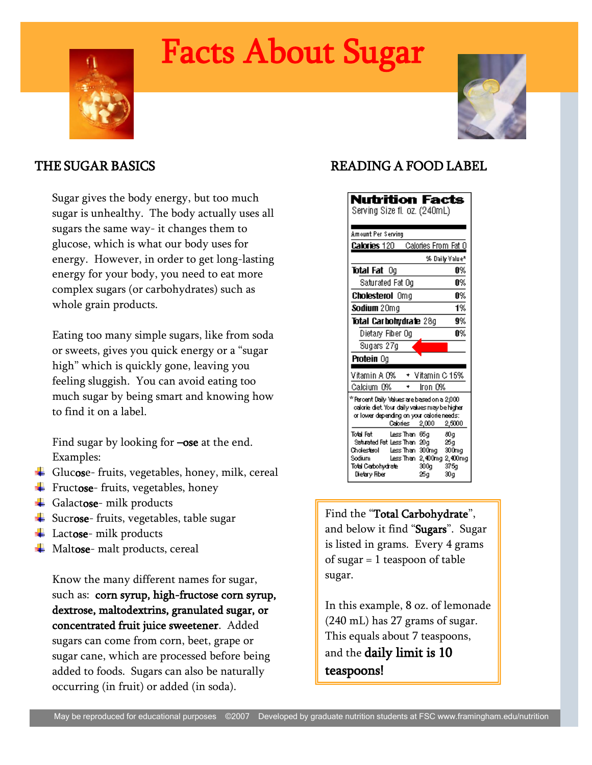# Facts About Sugar





# THE SUGAR BASICS

Sugar gives the body energy, but too much sugar is unhealthy. The body actually uses all sugars the same way- it changes them to glucose, which is what our body uses for energy. However, in order to get long-lasting energy for your body, you need to eat more complex sugars (or carbohydrates) such as whole grain products.

Eating too many simple sugars, like from soda or sweets, gives you quick energy or a "sugar high" which is quickly gone, leaving you feeling sluggish. You can avoid eating too much sugar by being smart and knowing how to find it on a label.

Find sugar by looking for **–ose** at the end. Examples:

- Glucose- fruits, vegetables, honey, milk, cereal
- $\overline{\phantom{a}}$  Fructose-fruits, vegetables, honey
- $\overline{\phantom{a}}$  Galactose- milk products
- $\frac{1}{2}$  Sucrose-fruits, vegetables, table sugar
- $\overline{\phantom{a}}$  Lactose- milk products
- $\overline{\phantom{a}}$  Maltose- malt products, cereal

Know the many different names for sugar, such as: corn syrup, high-fructose corn syrup, dextrose, maltodextrins, granulated sugar, or concentrated fruit juice sweetener. Added sugars can come from corn, beet, grape or sugar cane, which are processed before being added to foods. Sugars can also be naturally occurring (in fruit) or added (in soda).

# READING A FOOD LABEL

| <b>Nutrition Facts</b><br>Serving Size fl. oz. (240mL)                                                                                                                                                                      |
|-----------------------------------------------------------------------------------------------------------------------------------------------------------------------------------------------------------------------------|
| Amount Per Serving                                                                                                                                                                                                          |
| Calories From Fat 0<br><b>Calories 120</b>                                                                                                                                                                                  |
| % Daily Value*                                                                                                                                                                                                              |
| Total Fat<br>0%<br>O٥                                                                                                                                                                                                       |
| Saturated Fat Oo<br>0%                                                                                                                                                                                                      |
| 0%<br><b>Cholesterol</b> Omg                                                                                                                                                                                                |
| 1%<br>Sodium 20mg                                                                                                                                                                                                           |
| Total Carbohydrate 28g<br>9%                                                                                                                                                                                                |
| A%<br>Dietary Fiber Og                                                                                                                                                                                                      |
| Sugars 27g                                                                                                                                                                                                                  |
| <b>Protein</b> Og                                                                                                                                                                                                           |
|                                                                                                                                                                                                                             |
| Vitamin A 0%<br>* Vitamin C 15%                                                                                                                                                                                             |
| Calcium 0%<br>iron 0%                                                                                                                                                                                                       |
| * Percent Daily Values are based on a 2,000<br>calorie diet. Your daily values may be higher<br>or lower depending on your calorie needs:<br>Calories 2,000<br>2,5000                                                       |
| Total Fat<br>Less Than 66g<br>80a<br>Saturated Fat Less Than 20g<br>25a<br>Cholesterol Less Than 300mg<br>300mg<br>Less Than 2,400mg 2,400mg<br>Sodium<br>Total Carbohydrate<br>300a<br>375a<br>30q<br>Dietary Fiber<br>25q |

Find the "Total Carbohydrate", and below it find "Sugars". Sugar is listed in grams. Every 4 grams of sugar = 1 teaspoon of table sugar.

In this example, 8 oz. of lemonade (240 mL) has 27 grams of sugar. This equals about 7 teaspoons, and the daily limit is 10 teaspoons!